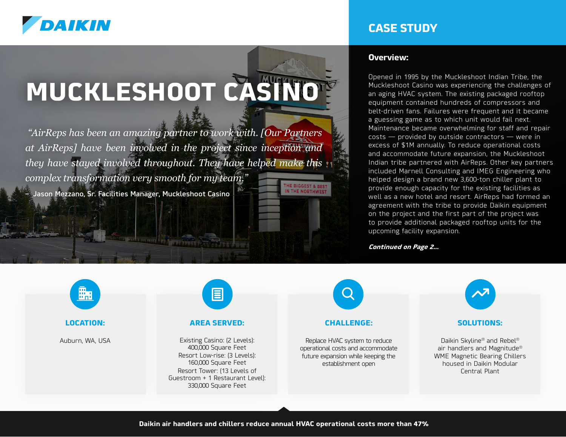

# **MUCKLESHOOT CASINO**

 *"AirReps has been an amazing partner to work with. [Our Partners at AirReps] have been involved in the project since inception and they have stayed involved throughout. They have helped make this complex transformation very smooth for my team."* THE BIGGEST & BEST<br>IN THE NORTHWEST

– Jason Mezzano, Sr. Facilities Manager, Muckleshoot Casino

### **CASE STUDY**

#### **Overview:**

Opened in 1995 by the Muckleshoot Indian Tribe, the Muckleshoot Casino was experiencing the challenges of an aging HVAC system. The existing packaged rooftop equipment contained hundreds of compressors and belt-driven fans. Failures were frequent and it became a guessing game as to which unit would fail next. Maintenance became overwhelming for staff and repair costs — provided by outside contractors — were in excess of \$1M annually. To reduce operational costs and accommodate future expansion, the Muckleshoot Indian tribe partnered with AirReps. Other key partners included Marnell Consulting and IMEG Engineering who helped design a brand new 3,600-ton chiller plant to provide enough capacity for the existing facilities as well as a new hotel and resort. AirReps had formed an agreement with the tribe to provide Daikin equipment on the project and the first part of the project was to provide additional packaged rooftop units for the upcoming facility expansion.

**Continued on Page 2...**



#### **LOCATION:**

Auburn, WA, USA



#### **AREA SERVED:**

Existing Casino: (2 Levels): 400,000 Square Feet Resort Low-rise: (3 Levels): 160,000 Square Feet Resort Tower: (13 Levels of Guestroom + 1 Restaurant Level): 330,000 Square Feet



#### **CHALLENGE:**

Replace HVAC system to reduce operational costs and accommodate future expansion while keeping the establishment open



#### **SOLUTIONS:**

Daikin Skyline® and Rebel® air handlers and Magnitude® WME Magnetic Bearing Chillers housed in Daikin Modular Central Plant